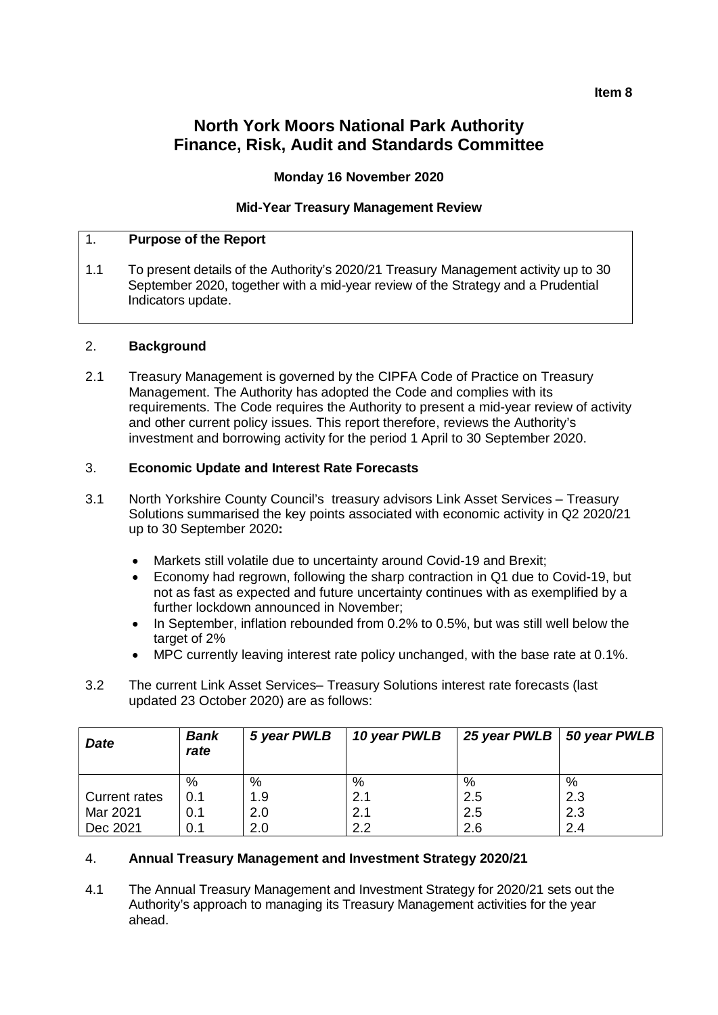#### **Item 8**

# **North York Moors National Park Authority Finance, Risk, Audit and Standards Committee**

### **Monday 16 November 2020**

#### **Mid-Year Treasury Management Review**

#### 1. **Purpose of the Report**

1.1 To present details of the Authority's 2020/21 Treasury Management activity up to 30 September 2020, together with a mid-year review of the Strategy and a Prudential Indicators update.

#### 2. **Background**

2.1 Treasury Management is governed by the CIPFA Code of Practice on Treasury Management. The Authority has adopted the Code and complies with its requirements. The Code requires the Authority to present a mid-year review of activity and other current policy issues. This report therefore, reviews the Authority's investment and borrowing activity for the period 1 April to 30 September 2020.

#### 3. **Economic Update and Interest Rate Forecasts**

- 3.1 North Yorkshire County Council's treasury advisors Link Asset Services Treasury Solutions summarised the key points associated with economic activity in Q2 2020/21 up to 30 September 2020**:**
	- Markets still volatile due to uncertainty around Covid-19 and Brexit;
	- Economy had regrown, following the sharp contraction in Q1 due to Covid-19, but not as fast as expected and future uncertainty continues with as exemplified by a further lockdown announced in November;
	- In September, inflation rebounded from 0.2% to 0.5%, but was still well below the target of 2%
	- MPC currently leaving interest rate policy unchanged, with the base rate at 0.1%.
- 3.2 The current Link Asset Services– Treasury Solutions interest rate forecasts (last updated 23 October 2020) are as follows:

| <b>Date</b>   | <b>Bank</b><br>rate | 5 year PWLB | 10 year PWLB | 25 year PWLB   50 year PWLB |     |
|---------------|---------------------|-------------|--------------|-----------------------------|-----|
|               | $\%$                | $\%$        | %            | %                           | %   |
| Current rates | 0.1                 | 1.9         | 2.1          | 2.5                         | 2.3 |
| Mar 2021      | 0.1                 | 2.0         | 2.1          | 2.5                         | 2.3 |
| Dec 2021      | 0.1                 | 2.0         | 2.2          | 2.6                         | 2.4 |

### 4. **Annual Treasury Management and Investment Strategy 2020/21**

4.1 The Annual Treasury Management and Investment Strategy for 2020/21 sets out the Authority's approach to managing its Treasury Management activities for the year ahead.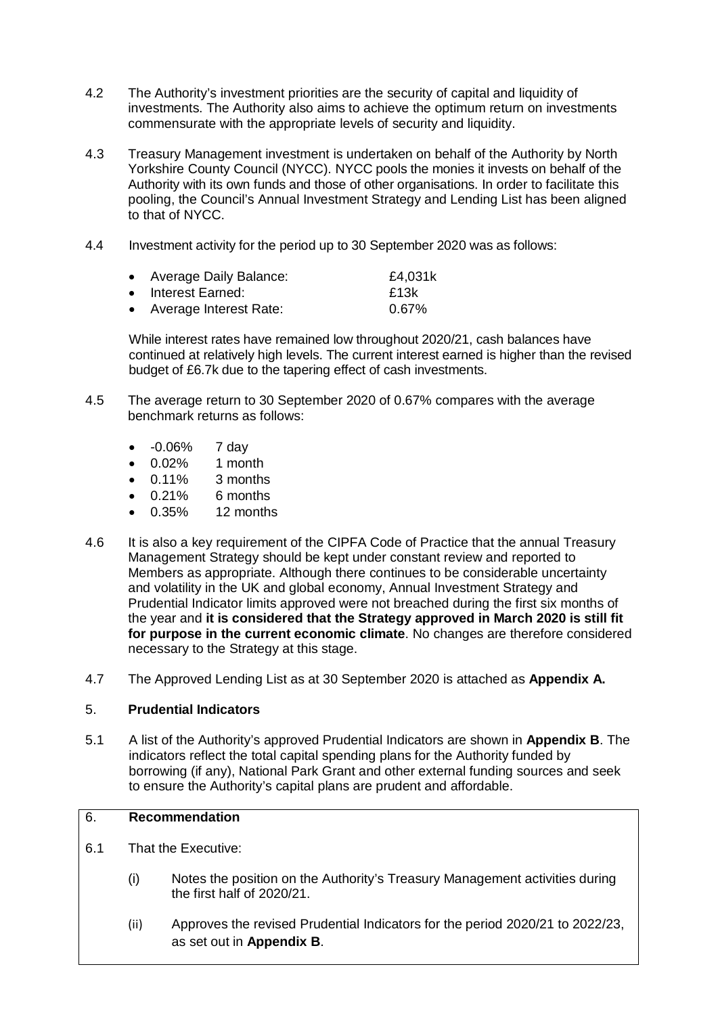- 4.2 The Authority's investment priorities are the security of capital and liquidity of investments. The Authority also aims to achieve the optimum return on investments commensurate with the appropriate levels of security and liquidity.
- 4.3 Treasury Management investment is undertaken on behalf of the Authority by North Yorkshire County Council (NYCC). NYCC pools the monies it invests on behalf of the Authority with its own funds and those of other organisations. In order to facilitate this pooling, the Council's Annual Investment Strategy and Lending List has been aligned to that of NYCC.
- 4.4 Investment activity for the period up to 30 September 2020 was as follows:

| • Average Daily Balance: | £4,031k  |
|--------------------------|----------|
| • Interest Earned:       | £13k     |
| • Average Interest Rate: | $0.67\%$ |

While interest rates have remained low throughout 2020/21, cash balances have continued at relatively high levels. The current interest earned is higher than the revised budget of £6.7k due to the tapering effect of cash investments.

- 4.5 The average return to 30 September 2020 of 0.67% compares with the average benchmark returns as follows:
	- -0.06% 7 day
	- 0.02% 1 month
	-
	- $0.11\%$  3 months<br>•  $0.21\%$  6 months  $\bullet$  0.21% 6 months
	- 0.35% 12 months
- 4.6 It is also a key requirement of the CIPFA Code of Practice that the annual Treasury Management Strategy should be kept under constant review and reported to Members as appropriate. Although there continues to be considerable uncertainty and volatility in the UK and global economy, Annual Investment Strategy and Prudential Indicator limits approved were not breached during the first six months of the year and **it is considered that the Strategy approved in March 2020 is still fit for purpose in the current economic climate**. No changes are therefore considered necessary to the Strategy at this stage.
- 4.7 The Approved Lending List as at 30 September 2020 is attached as **Appendix A.**

### 5. **Prudential Indicators**

5.1 A list of the Authority's approved Prudential Indicators are shown in **Appendix B**. The indicators reflect the total capital spending plans for the Authority funded by borrowing (if any), National Park Grant and other external funding sources and seek to ensure the Authority's capital plans are prudent and affordable.

### 6. **Recommendation**

- 6.1 That the Executive:
	- (i) Notes the position on the Authority's Treasury Management activities during the first half of 2020/21.
	- (ii) Approves the revised Prudential Indicators for the period 2020/21 to 2022/23, as set out in **Appendix B**.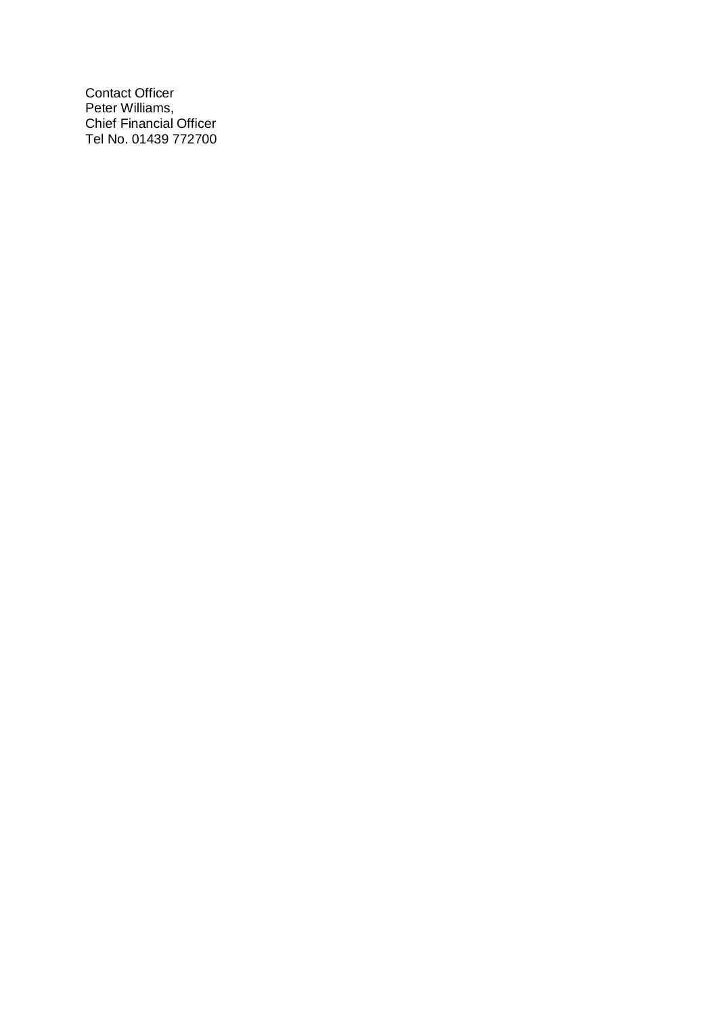Contact Officer Peter Williams, Chief Financial Officer Tel No. 01439 772700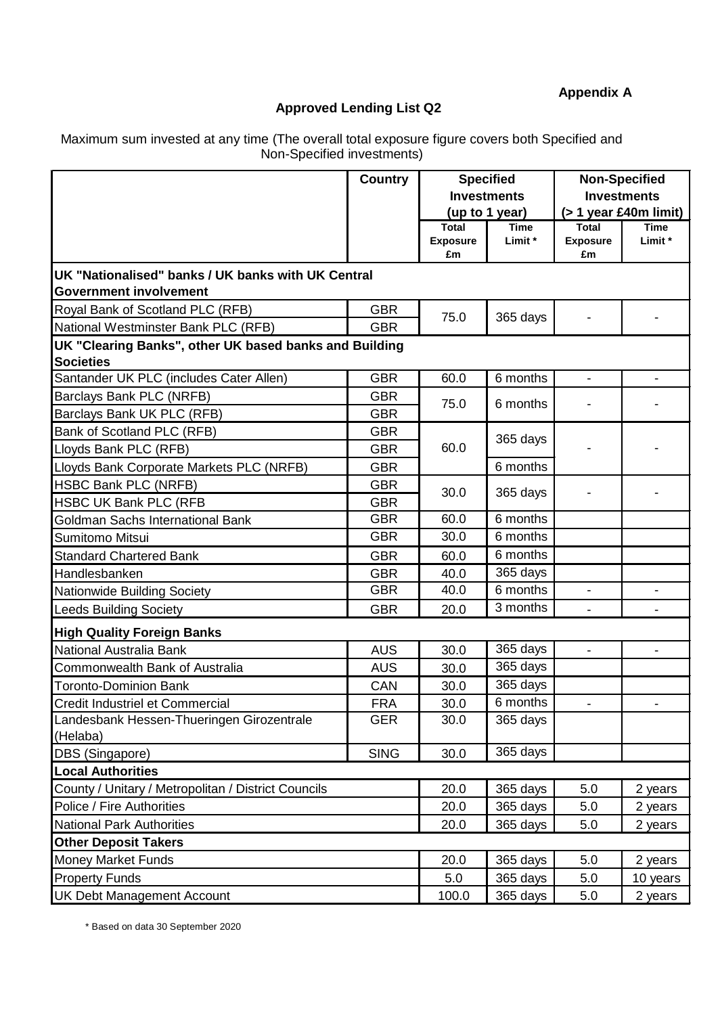# **Appendix A**

# **Approved Lending List Q2**

Maximum sum invested at any time (The overall total exposure figure covers both Specified and Non-Specified investments)

|                                                        | <b>Country</b> | <b>Specified</b>      |                    | <b>Non-Specified</b>  |                          |
|--------------------------------------------------------|----------------|-----------------------|--------------------|-----------------------|--------------------------|
|                                                        |                |                       | <b>Investments</b> |                       | <b>Investments</b>       |
|                                                        |                | (up to 1 year)        |                    |                       | $($ > 1 year £40m limit) |
|                                                        |                | <b>Total</b>          | <b>Time</b>        | <b>Total</b>          | Time                     |
|                                                        |                | <b>Exposure</b><br>£m | Limit *            | <b>Exposure</b><br>£m | Limit *                  |
| UK "Nationalised" banks / UK banks with UK Central     |                |                       |                    |                       |                          |
| <b>Government involvement</b>                          |                |                       |                    |                       |                          |
| Royal Bank of Scotland PLC (RFB)                       | <b>GBR</b>     | 75.0                  | 365 days           |                       |                          |
| National Westminster Bank PLC (RFB)                    | <b>GBR</b>     |                       |                    |                       |                          |
| UK "Clearing Banks", other UK based banks and Building |                |                       |                    |                       |                          |
| <b>Societies</b>                                       |                |                       |                    |                       |                          |
| Santander UK PLC (includes Cater Allen)                | <b>GBR</b>     | 60.0                  | 6 months           | $\blacksquare$        | $\blacksquare$           |
| Barclays Bank PLC (NRFB)                               | <b>GBR</b>     | 75.0                  | 6 months           |                       |                          |
| Barclays Bank UK PLC (RFB)                             | <b>GBR</b>     |                       |                    |                       |                          |
| Bank of Scotland PLC (RFB)                             | <b>GBR</b>     |                       | 365 days           |                       |                          |
| Lloyds Bank PLC (RFB)                                  | <b>GBR</b>     | 60.0                  |                    |                       |                          |
| Lloyds Bank Corporate Markets PLC (NRFB)               | <b>GBR</b>     |                       | 6 months           |                       |                          |
| <b>HSBC Bank PLC (NRFB)</b>                            | <b>GBR</b>     | 30.0                  |                    |                       |                          |
| <b>HSBC UK Bank PLC (RFB</b>                           | <b>GBR</b>     |                       | 365 days           |                       |                          |
| Goldman Sachs International Bank                       | <b>GBR</b>     | 60.0                  | 6 months           |                       |                          |
| Sumitomo Mitsui                                        | <b>GBR</b>     | 30.0                  | 6 months           |                       |                          |
| <b>Standard Chartered Bank</b>                         | <b>GBR</b>     | 60.0                  | 6 months           |                       |                          |
| Handlesbanken                                          | <b>GBR</b>     | 40.0                  | 365 days           |                       |                          |
| Nationwide Building Society                            | <b>GBR</b>     | 40.0                  | 6 months           |                       |                          |
| <b>Leeds Building Society</b>                          | <b>GBR</b>     | 20.0                  | 3 months           | $\blacksquare$        |                          |
| <b>High Quality Foreign Banks</b>                      |                |                       |                    |                       |                          |
| National Australia Bank                                | <b>AUS</b>     | 30.0                  | 365 days           |                       |                          |
| Commonwealth Bank of Australia                         | <b>AUS</b>     | 30.0                  | 365 days           |                       |                          |
| <b>Toronto-Dominion Bank</b>                           | CAN            | 30.0                  | 365 days           |                       |                          |
| Credit Industriel et Commercial                        | <b>FRA</b>     | 30.0                  | 6 months           |                       |                          |
| Landesbank Hessen-Thueringen Girozentrale              | <b>GER</b>     | 30.0                  | 365 days           |                       |                          |
| (Helaba)                                               |                |                       |                    |                       |                          |
| DBS (Singapore)                                        | <b>SING</b>    | 30.0                  | 365 days           |                       |                          |
| <b>Local Authorities</b>                               |                |                       |                    |                       |                          |
| County / Unitary / Metropolitan / District Councils    | 20.0           | 365 days              | 5.0                | 2 years               |                          |
| Police / Fire Authorities                              | 20.0           | 365 days              | 5.0                | 2 years               |                          |
| <b>National Park Authorities</b>                       | 20.0           | 365 days              | 5.0                | 2 years               |                          |
| <b>Other Deposit Takers</b>                            |                |                       |                    |                       |                          |
| <b>Money Market Funds</b>                              |                | 20.0                  | 365 days           | 5.0                   | 2 years                  |
| <b>Property Funds</b>                                  |                | 5.0                   | 365 days           | 5.0                   | 10 years                 |
| <b>UK Debt Management Account</b>                      |                |                       | 365 days           | 5.0                   | 2 years                  |

\* Based on data 30 September 2020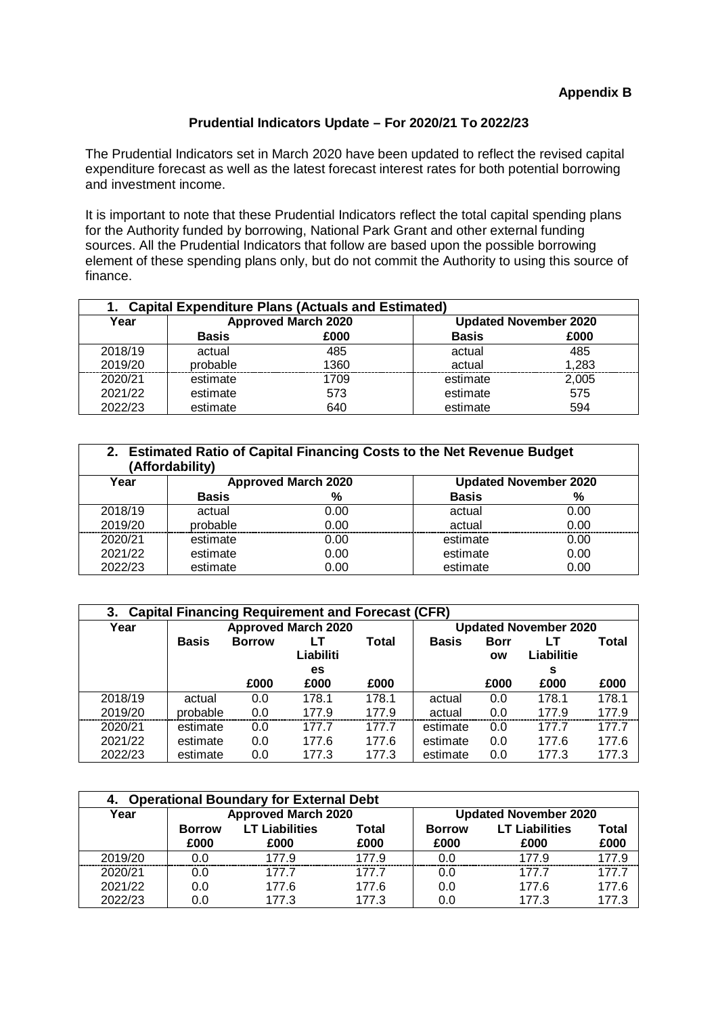### **Prudential Indicators Update – For 2020/21 To 2022/23**

The Prudential Indicators set in March 2020 have been updated to reflect the revised capital expenditure forecast as well as the latest forecast interest rates for both potential borrowing and investment income.

It is important to note that these Prudential Indicators reflect the total capital spending plans for the Authority funded by borrowing, National Park Grant and other external funding sources. All the Prudential Indicators that follow are based upon the possible borrowing element of these spending plans only, but do not commit the Authority to using this source of finance.

| <b>Capital Expenditure Plans (Actuals and Estimated)</b> |              |                            |              |                              |  |  |
|----------------------------------------------------------|--------------|----------------------------|--------------|------------------------------|--|--|
| Year                                                     |              | <b>Approved March 2020</b> |              | <b>Updated November 2020</b> |  |  |
|                                                          | <b>Basis</b> | £000                       | <b>Basis</b> | £000                         |  |  |
| 2018/19                                                  | actual       | 485                        | actual       | 485                          |  |  |
| 2019/20                                                  | probable     | 1360                       | actual       | 1,283                        |  |  |
| 2020/21                                                  | estimate     | 1709                       | estimate     | 2,005                        |  |  |
| 2021/22                                                  | estimate     | 573                        | estimate     | 575                          |  |  |
| 2022/23                                                  | estimate     | 640                        | estimate     | 594                          |  |  |

| <b>Estimated Ratio of Capital Financing Costs to the Net Revenue Budget</b><br>2.<br>(Affordability) |                                                            |      |              |      |  |  |  |
|------------------------------------------------------------------------------------------------------|------------------------------------------------------------|------|--------------|------|--|--|--|
| Year                                                                                                 | <b>Approved March 2020</b><br><b>Updated November 2020</b> |      |              |      |  |  |  |
|                                                                                                      | <b>Basis</b>                                               | %    | <b>Basis</b> | %    |  |  |  |
| 2018/19                                                                                              | actual                                                     | 0.00 | actual       | 0.00 |  |  |  |
| 2019/20                                                                                              | probable                                                   | 0.00 | actual       | 0.00 |  |  |  |
| 2020/21                                                                                              | estimate                                                   | 0.00 | estimate     | 0.00 |  |  |  |
| 2021/22                                                                                              | estimate                                                   | 0.00 | estimate     | 0.00 |  |  |  |
| 2022/23                                                                                              | estimate                                                   | 0.00 | estimate     | 0.00 |  |  |  |

| <b>Capital Financing Requirement and Forecast (CFR)</b><br>3. |                            |               |            |                              |              |             |            |       |
|---------------------------------------------------------------|----------------------------|---------------|------------|------------------------------|--------------|-------------|------------|-------|
| Year                                                          | <b>Approved March 2020</b> |               |            | <b>Updated November 2020</b> |              |             |            |       |
|                                                               | <b>Basis</b>               | <b>Borrow</b> |            | Total                        | <b>Basis</b> | <b>Borr</b> |            | Total |
|                                                               |                            |               | Liabiliti  |                              |              | <b>OW</b>   | Liabilitie |       |
|                                                               |                            | £000          | es<br>£000 | £000                         |              | £000        | s<br>£000  | £000  |
|                                                               |                            |               |            |                              |              |             |            |       |
| 2018/19                                                       | actual                     | 0.0           | 178.1      | 178.1                        | actual       | 0.0         | 178.1      | 178.1 |
| 2019/20                                                       | probable                   | 0.0           | 177.9      | 177.9                        | actual       | 0.0         | 177.9      | 177.9 |
| 2020/21                                                       | estimate                   | 0.0           | 177.7      | 177.7                        | estimate     | 0.0         | 177.7      | 177.7 |
| 2021/22                                                       | estimate                   | 0.0           | 177.6      | 177.6                        | estimate     | 0.0         | 177.6      | 177.6 |
| 2022/23                                                       | estimate                   | 0.0           | 177.3      | 177.3                        | estimate     | 0.0         | 177.3      | 177.3 |

| 4. Operational Boundary for External Debt |               |                            |       |                              |                       |       |  |  |  |
|-------------------------------------------|---------------|----------------------------|-------|------------------------------|-----------------------|-------|--|--|--|
| Year                                      |               | <b>Approved March 2020</b> |       | <b>Updated November 2020</b> |                       |       |  |  |  |
|                                           | <b>Borrow</b> | <b>LT Liabilities</b>      | Total | <b>Borrow</b>                | <b>LT Liabilities</b> | Total |  |  |  |
|                                           | £000          | £000                       | £000  | £000                         | £000                  | £000  |  |  |  |
| 2019/20                                   | 0.O           | 1779                       | 1779  | ი ი                          | 1779                  | 177.9 |  |  |  |
| 2020/21                                   | 0.0           | 177.7                      | 177.7 | 0.0                          | 177.7                 | 1777  |  |  |  |
| 2021/22                                   | 0.0           | 177.6                      | 177.6 | 0.0                          | 177.6                 | 177.6 |  |  |  |
| 2022/23                                   | 0.0           | 177.3                      | 177.3 | 0.0                          | 177.3                 | 177.3 |  |  |  |